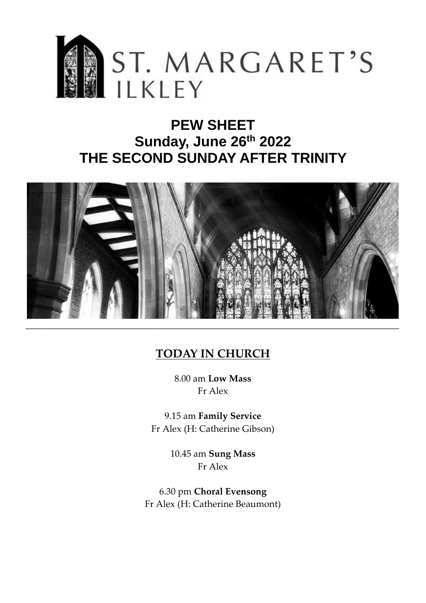

# **PEW SHEET Sunday, June 26th 2022 THE SECOND SUNDAY AFTER TRINITY**



# **TODAY IN CHURCH**

8.00 am **Low Mass** Fr Alex

9.15 am **Family Service** Fr Alex (H: Catherine Gibson)

> 10.45 am **Sung Mass** Fr Alex

6.30 pm **Choral Evensong**  Fr Alex (H: Catherine Beaumont)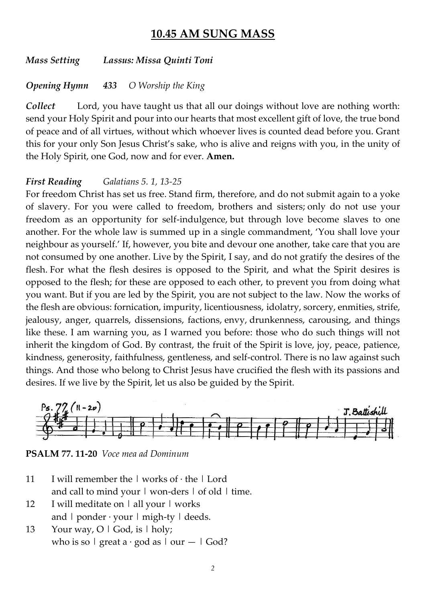# **10.45 AM SUNG MASS**

*Mass Setting Lassus: Missa Quinti Toni*

#### *Opening Hymn 433 O Worship the King*

*Collect* Lord, you have taught us that all our doings without love are nothing worth: send your Holy Spirit and pour into our hearts that most excellent gift of love, the true bond of peace and of all virtues, without which whoever lives is counted dead before you. Grant this for your only Son Jesus Christ's sake, who is alive and reigns with you, in the unity of the Holy Spirit, one God, now and for ever. **Amen.**

#### *First Reading Galatians 5. 1, 13-25*

For freedom Christ has set us free. Stand firm, therefore, and do not submit again to a yoke of slavery. For you were called to freedom, brothers and sisters; only do not use your freedom as an opportunity for self-indulgence, but through love become slaves to one another. For the whole law is summed up in a single commandment, 'You shall love your neighbour as yourself.' If, however, you bite and devour one another, take care that you are not consumed by one another. Live by the Spirit, I say, and do not gratify the desires of the flesh. For what the flesh desires is opposed to the Spirit, and what the Spirit desires is opposed to the flesh; for these are opposed to each other, to prevent you from doing what you want. But if you are led by the Spirit, you are not subject to the law. Now the works of the flesh are obvious: fornication, impurity, licentiousness, idolatry, sorcery, enmities, strife, jealousy, anger, quarrels, dissensions, factions, envy, drunkenness, carousing, and things like these. I am warning you, as I warned you before: those who do such things will not inherit the kingdom of God. By contrast, the fruit of the Spirit is love, joy, peace, patience, kindness, generosity, faithfulness, gentleness, and self-control. There is no law against such things. And those who belong to Christ Jesus have crucified the flesh with its passions and desires. If we live by the Spirit, let us also be guided by the Spirit.



**PSALM 77. 11-20** *Voce mea ad Dominum*

- 11 I will remember the  $\vert$  works of  $\cdot$  the  $\vert$  Lord and call to mind your  $\vert$  won-ders  $\vert$  of old  $\vert$  time.
- 12 I will meditate on | all your | works and  $\vert$  ponder  $\cdot$  your  $\vert$  migh-ty  $\vert$  deeds.
- 13 Your way,  $O \mid God$ , is  $\mid holy$ ; who is so  $\vert$  great a · god as  $\vert$  our  $\vert$  God?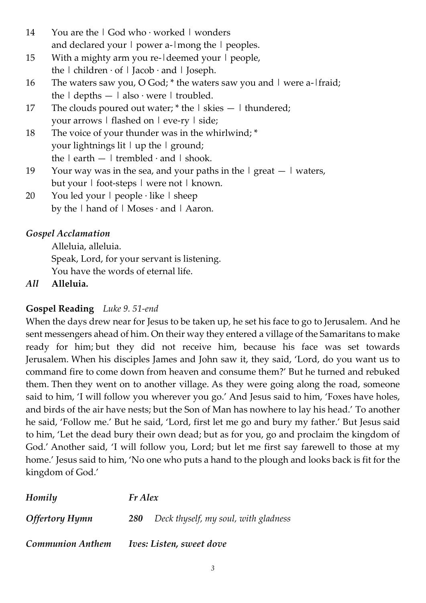- 14 You are the | God who · worked | wonders and declared your  $\vert$  power a- $\vert$ mong the  $\vert$  peoples.
- 15 With a mighty arm you re-Ideemed your I people, the  $\vert$  children  $\cdot$  of  $\vert$  Jacob  $\cdot$  and  $\vert$  Joseph.
- 16 The waters saw you, O God;  $*$  the waters saw you and  $\vert$  were a- $\vert$ fraid; the  $\vert$  depths  $\vert$  also  $\cdot$  were  $\vert$  troubled.
- 17 The clouds poured out water;  $*$  the  $\vert$  skies  $\vert$  thundered; your arrows | flashed on | eve-ry | side;
- 18 The voice of your thunder was in the whirlwind; \* your lightnings lit | up the | ground; the  $|$  earth  $|$  trembled  $\cdot$  and  $|$  shook.
- 19 Your way was in the sea, and your paths in the  $|$  great  $-|$  waters, but your | foot-steps | were not | known.
- 20 You led your  $\vert$  people  $\cdot$  like  $\vert$  sheep by the | hand of | Moses  $\cdot$  and | Aaron.

# *Gospel Acclamation*

Alleluia, alleluia.

Speak, Lord, for your servant is listening.

You have the words of eternal life.

*All* **Alleluia.**

# **Gospel Reading** *Luke 9. 51-end*

When the days drew near for Jesus to be taken up, he set his face to go to Jerusalem. And he sent messengers ahead of him. On their way they entered a village of the Samaritans to make ready for him; but they did not receive him, because his face was set towards Jerusalem. When his disciples James and John saw it, they said, 'Lord, do you want us to command fire to come down from heaven and consume them?' But he turned and rebuked them. Then they went on to another village. As they were going along the road, someone said to him, 'I will follow you wherever you go.' And Jesus said to him, 'Foxes have holes, and birds of the air have nests; but the Son of Man has nowhere to lay his head.' To another he said, 'Follow me.' But he said, 'Lord, first let me go and bury my father.' But Jesus said to him, 'Let the dead bury their own dead; but as for you, go and proclaim the kingdom of God.' Another said, 'I will follow you, Lord; but let me first say farewell to those at my home.' Jesus said to him, 'No one who puts a hand to the plough and looks back is fit for the kingdom of God.'

| Homily                  | Fr Alex                         |                                      |  |
|-------------------------|---------------------------------|--------------------------------------|--|
| <b>Offertory Hymn</b>   | <b>280</b>                      | Deck thyself, my soul, with gladness |  |
| <b>Communion Anthem</b> | <i>Ives: Listen, sweet dove</i> |                                      |  |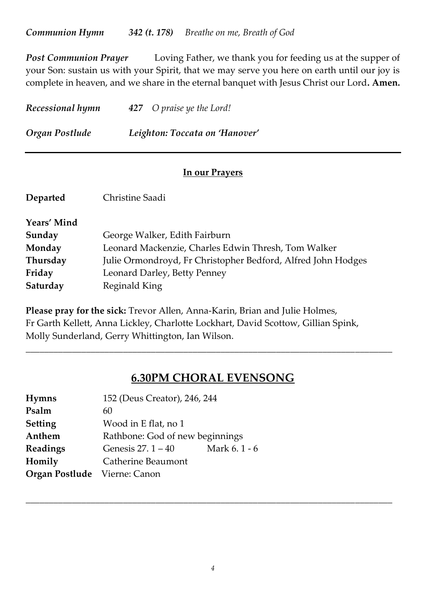*Post Communion Prayer* Loving Father, we thank you for feeding us at the supper of your Son: sustain us with your Spirit, that we may serve you here on earth until our joy is complete in heaven, and we share in the eternal banquet with Jesus Christ our Lord**. Amen.**

| Recessional hymn | 427 O praise ye the Lord!      |
|------------------|--------------------------------|
| Organ Postlude   | Leighton: Toccata on 'Hanover' |

# **In our Prayers**

| Departed    | Christine Saadi                                              |
|-------------|--------------------------------------------------------------|
| Years' Mind |                                                              |
| Sunday      | George Walker, Edith Fairburn                                |
| Monday      | Leonard Mackenzie, Charles Edwin Thresh, Tom Walker          |
| Thursday    | Julie Ormondroyd, Fr Christopher Bedford, Alfred John Hodges |
| Friday      | Leonard Darley, Betty Penney                                 |
| Saturday    | Reginald King                                                |
|             |                                                              |

**Please pray for the sick:** Trevor Allen, Anna-Karin, Brian and Julie Holmes, Fr Garth Kellett, Anna Lickley, Charlotte Lockhart, David Scottow, Gillian Spink, Molly Sunderland, Gerry Whittington, Ian Wilson.

# **6.30PM CHORAL EVENSONG**

*\_\_\_\_\_\_\_\_\_\_\_\_\_\_\_\_\_\_\_\_\_\_\_\_\_\_\_\_\_\_\_\_\_\_\_\_\_\_\_\_\_\_\_\_\_\_\_\_\_\_\_\_\_\_\_\_\_\_\_\_\_\_\_\_\_\_\_\_\_\_\_\_\_\_\_\_\_\_\_*

| 152 (Deus Creator), 246, 244    |                                     |
|---------------------------------|-------------------------------------|
| 60                              |                                     |
| Wood in E flat, no 1            |                                     |
| Rathbone: God of new beginnings |                                     |
| Genesis $27.1 - 40$             | Mark 6.1 - 6                        |
| Catherine Beaumont              |                                     |
|                                 |                                     |
|                                 | <b>Organ Postlude</b> Vierne: Canon |

*\_\_\_\_\_\_\_\_\_\_\_\_\_\_\_\_\_\_\_\_\_\_\_\_\_\_\_\_\_\_\_\_\_\_\_\_\_\_\_\_\_\_\_\_\_\_\_\_\_\_\_\_\_\_\_\_\_\_\_\_\_\_\_\_\_\_\_\_\_\_\_\_\_\_\_\_\_\_\_*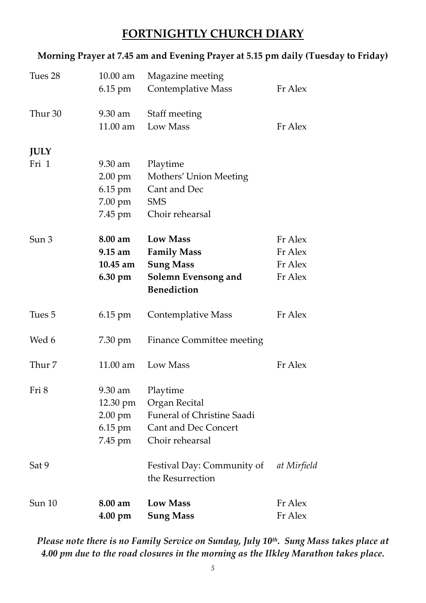# **FORTNIGHTLY CHURCH DIARY**

#### **Morning Prayer at 7.45 am and Evening Prayer at 5.15 pm daily (Tuesday to Friday)**

| Sun 10               | 8.00 am<br>$4.00 \text{ pm}$                                             | <b>Low Mass</b><br><b>Sung Mass</b>                                                                              | Fr Alex<br>Fr Alex                       |
|----------------------|--------------------------------------------------------------------------|------------------------------------------------------------------------------------------------------------------|------------------------------------------|
| Sat 9                |                                                                          | Festival Day: Community of<br>the Resurrection                                                                   | at Mirfield                              |
| Fri 8                | 9.30 am<br>$12.30 \text{ pm}$<br>$2.00 \text{ pm}$<br>6.15 pm<br>7.45 pm | Playtime<br>Organ Recital<br><b>Funeral of Christine Saadi</b><br><b>Cant and Dec Concert</b><br>Choir rehearsal |                                          |
| Thur 7               | $11.00$ am                                                               | Low Mass                                                                                                         | Fr Alex                                  |
| Wed 6                | 7.30 pm                                                                  | Finance Committee meeting                                                                                        |                                          |
| Tues 5               | $6.15 \text{ pm}$                                                        | <b>Contemplative Mass</b>                                                                                        | Fr Alex                                  |
| Sun 3                | 8.00 am<br>$9.15 \text{ am}$<br>$10.45$ am<br>6.30 pm                    | <b>Low Mass</b><br><b>Family Mass</b><br><b>Sung Mass</b><br>Solemn Evensong and<br><b>Benediction</b>           | Fr Alex<br>Fr Alex<br>Fr Alex<br>Fr Alex |
| <b>JULY</b><br>Fri 1 | $9.30 \text{ am}$<br>2.00 pm<br>6.15 pm<br>7.00 pm<br>7.45 pm            | Playtime<br>Mothers' Union Meeting<br>Cant and Dec<br><b>SMS</b><br>Choir rehearsal                              |                                          |
| Thur 30              | 9.30 am<br>11.00 am                                                      | Staff meeting<br>Low Mass                                                                                        | Fr Alex                                  |
| Tues 28              | $10.00$ am<br>6.15 pm                                                    | Magazine meeting<br><b>Contemplative Mass</b>                                                                    | Fr Alex                                  |

# *Please note there is no Family Service on Sunday, July 10th . Sung Mass takes place at 4.00 pm due to the road closures in the morning as the Ilkley Marathon takes place.*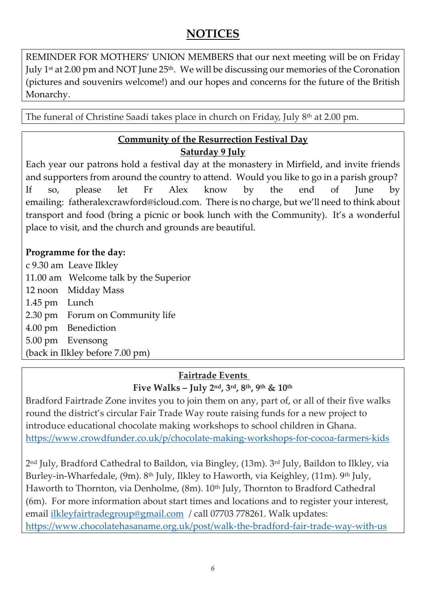# **NOTICES**

REMINDER FOR MOTHERS' UNION MEMBERS that our next meeting will be on Friday July 1st at 2.00 pm and NOT June 25<sup>th</sup>. We will be discussing our memories of the Coronation (pictures and souvenirs welcome!) and our hopes and concerns for the future of the British Monarchy.

The funeral of Christine Saadi takes place in church on Friday, July 8<sup>th</sup> at 2.00 pm.

# **Community of the Resurrection Festival Day Saturday 9 July**

Each year our patrons hold a festival day at the monastery in Mirfield, and invite friends and supporters from around the country to attend. Would you like to go in a parish group? If so, please let Fr Alex know by the end of June by emailing: [fatheralexcrawford@icloud.com.](mailto:fatheralexcrawford@icloud.com) There is no charge, but we'll need to think about transport and food (bring a picnic or book lunch with the Community). It's a wonderful place to visit, and the church and grounds are beautiful.

# **Programme for the day:**

c 9.30 am Leave Ilkley 11.00 am Welcome talk by the Superior 12 noon Midday Mass 1.45 pm Lunch 2.30 pm Forum on Community life 4.00 pm Benediction 5.00 pm Evensong (back in Ilkley before 7.00 pm)

# **Fairtrade Events**

**Five Walks – July 2 nd, 3rd, 8th, 9th & 10th**

Bradford Fairtrade Zone invites you to join them on any, part of, or all of their five walks round the district's circular Fair Trade Way route raising funds for a new project to introduce educational chocolate making workshops to school children in Ghana. <https://www.crowdfunder.co.uk/p/chocolate-making-workshops-for-cocoa-farmers-kids>

2 nd July, Bradford Cathedral to Baildon, via Bingley, (13m). 3rd July, Baildon to Ilkley, via Burley-in-Wharfedale, (9m). 8<sup>th</sup> July, Ilkley to Haworth, via Keighley, (11m). 9<sup>th</sup> July, Haworth to Thornton, via Denholme, (8m). 10<sup>th</sup> July, Thornton to Bradford Cathedral (6m). For more information about start times and locations and to register your interest, email [ilkleyfairtradegroup@gmail.com](mailto:ilkleyfairtradegroup@gmail.com) / call 07703 778261. Walk updates: <https://www.chocolatehasaname.org.uk/post/walk-the-bradford-fair-trade-way-with-us>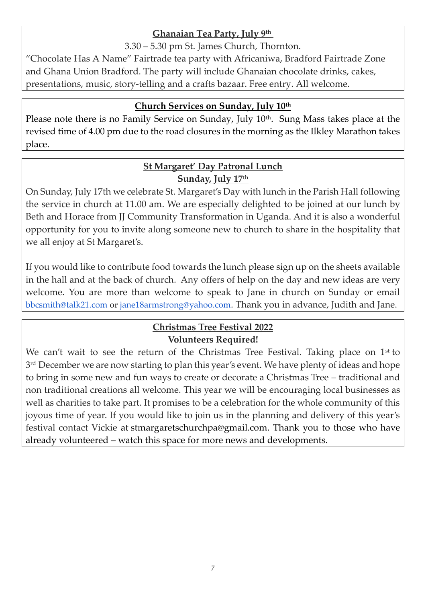# **Ghanaian Tea Party, July 9th**

3.30 – 5.30 pm St. James Church, Thornton.

"Chocolate Has A Name" Fairtrade tea party with Africaniwa, Bradford Fairtrade Zone and Ghana Union Bradford. The party will include Ghanaian chocolate drinks, cakes, presentations, music, story-telling and a crafts bazaar. Free entry. All welcome.

#### **Church Services on Sunday, July 10th**

Please note there is no Family Service on Sunday, July 10<sup>th</sup>. Sung Mass takes place at the revised time of 4.00 pm due to the road closures in the morning as the Ilkley Marathon takes place.

# **St Margaret' Day Patronal Lunch Sunday, July 17th**

On Sunday, July 17th we celebrate St. Margaret's Day with lunch in the Parish Hall following the service in church at 11.00 am. We are especially delighted to be joined at our lunch by Beth and Horace from JJ Community Transformation in Uganda. And it is also a wonderful opportunity for you to invite along someone new to church to share in the hospitality that we all enjoy at St Margaret's.

If you would like to contribute food towards the lunch please sign up on the sheets available in the hall and at the back of church. Any offers of help on the day and new ideas are very welcome. You are more than welcome to speak to Jane in church on Sunday or email [bbcsmith@talk21.com](mailto:bbcsmith@talk21.com) or [jane18armstrong@yahoo.com](mailto:jane18armstrong@yahoo.com). Thank you in advance, Judith and Jane.

# **Christmas Tree Festival 2022 Volunteers Required!**

We can't wait to see the return of the Christmas Tree Festival. Taking place on  $1<sup>st</sup>$  to 3 rd December we are now starting to plan this year's event. We have plenty of ideas and hope to bring in some new and fun ways to create or decorate a Christmas Tree – traditional and non traditional creations all welcome. This year we will be encouraging local businesses as well as charities to take part. It promises to be a celebration for the whole community of this joyous time of year. If you would like to join us in the planning and delivery of this year's festival contact Vickie at [stmargaretschurchpa@gmail.com.](mailto:stmargaretschurchpa@gmail.com) Thank you to those who have already volunteered – watch this space for more news and developments.